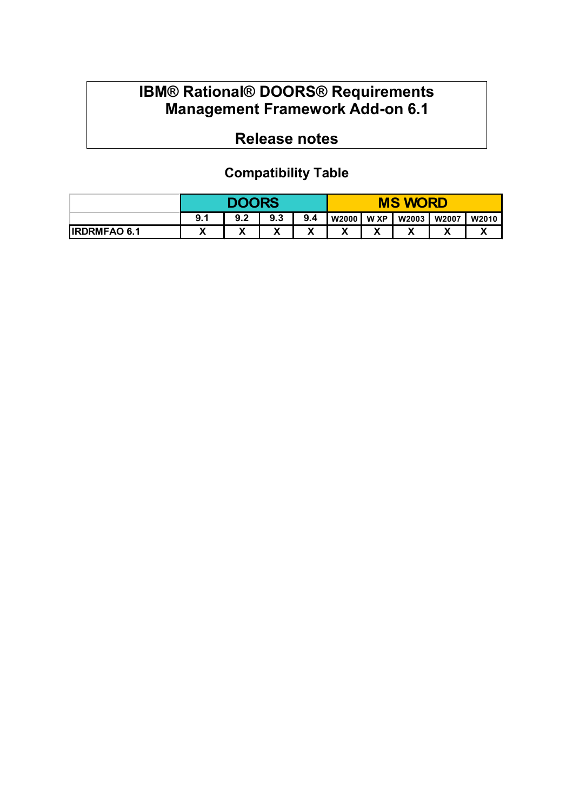## **IBM® Rational® DOORS® Requirements Management Framework Add-on 6.1**

# **Release notes**

### **Compatibility Table**

|                     |     |     |                   |                     | <b>MS WORD</b> |   |             |         |              |
|---------------------|-----|-----|-------------------|---------------------|----------------|---|-------------|---------|--------------|
|                     | 9.1 | 9.2 | 9.3               | 9.4                 | W2000   W XP   |   | W2003 W2007 |         | <b>W2010</b> |
| <b>IRDRMFAO 6.1</b> |     | 1.  | $\mathbf{v}$<br>Δ | $\blacksquare$<br>́ |                | v |             | ``<br>↗ |              |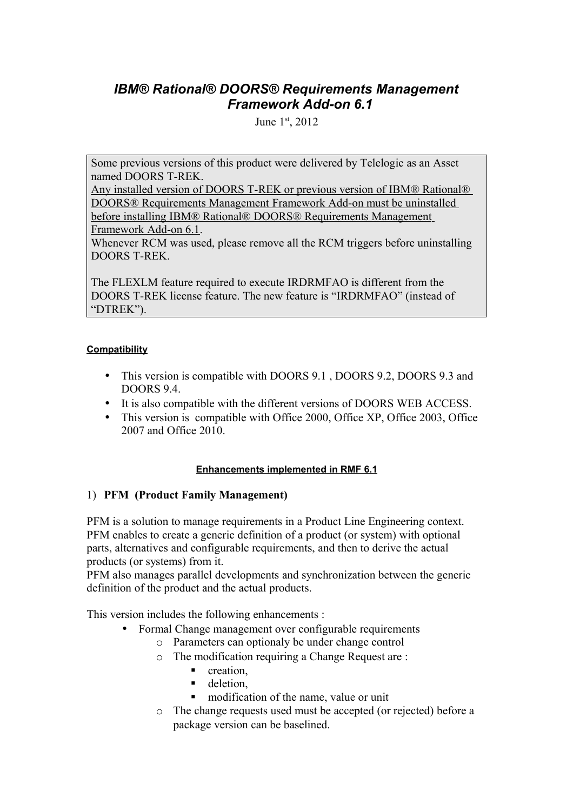### *IBM® Rational® DOORS® Requirements Management Framework Add-on 6.1*

June 1<sup>st</sup>, 2012

Some previous versions of this product were delivered by Telelogic as an Asset named DOORS T-REK.

 Any installed version of DOORS T-REK or previous version of IBM® Rational® DOORS® Requirements Management Framework Add-on must be uninstalled before installing IBM® Rational® DOORS® Requirements Management

Framework Add-on 6.1.

Whenever RCM was used, please remove all the RCM triggers before uninstalling DOORS T-REK.

The FLEXLM feature required to execute IRDRMFAO is different from the DOORS T-REK license feature. The new feature is "IRDRMFAO" (instead of "DTREK").

#### **Compatibility**

- This version is compatible with DOORS 9.1, DOORS 9.2, DOORS 9.3 and DOORS 9.4
- It is also compatible with the different versions of DOORS WEB ACCESS.
- This version is compatible with Office 2000, Office XP, Office 2003, Office 2007 and Office 2010.

#### **Enhancements implemented in RMF 6.1**

#### 1) **PFM (Product Family Management)**

PFM is a solution to manage requirements in a Product Line Engineering context. PFM enables to create a generic definition of a product (or system) with optional parts, alternatives and configurable requirements, and then to derive the actual products (or systems) from it.

PFM also manages parallel developments and synchronization between the generic definition of the product and the actual products.

This version includes the following enhancements :

- Formal Change management over configurable requirements
	- o Parameters can optionaly be under change control
	- o The modification requiring a Change Request are :
		- **creation**
		- **deletion**
		- modification of the name, value or unit
	- o The change requests used must be accepted (or rejected) before a package version can be baselined.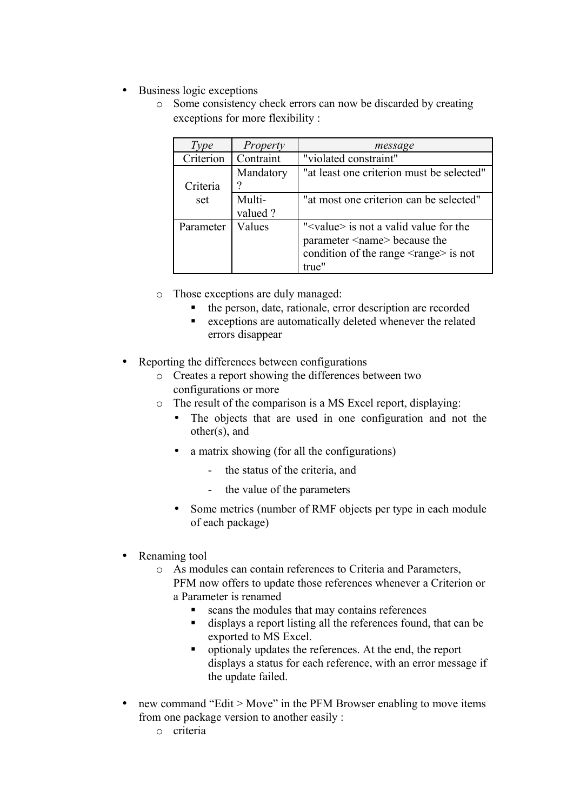- Business logic exceptions
	- o Some consistency check errors can now be discarded by creating exceptions for more flexibility :

| Type      | Property           | message                                                                                                                                                                      |
|-----------|--------------------|------------------------------------------------------------------------------------------------------------------------------------------------------------------------------|
| Criterion | Contraint          | "violated constraint"                                                                                                                                                        |
| Criteria  | Mandatory          | "at least one criterion must be selected"                                                                                                                                    |
| set       | Multi-<br>valued ? | "at most one criterion can be selected"                                                                                                                                      |
| Parameter | Values             | " <value> is not a valid value for the<br/>parameter <name> because the<br/>condition of the range <math>\leq</math> range <math>\geq</math> is not<br/>true"</name></value> |

- o Those exceptions are duly managed:
	- the person, date, rationale, error description are recorded
	- exceptions are automatically deleted whenever the related errors disappear
- Reporting the differences between configurations
	- o Creates a report showing the differences between two configurations or more
	- o The result of the comparison is a MS Excel report, displaying:
		- The objects that are used in one configuration and not the other(s), and
		- a matrix showing (for all the configurations)
			- the status of the criteria, and
			- the value of the parameters
		- Some metrics (number of RMF objects per type in each module of each package)
- Renaming tool
	- o As modules can contain references to Criteria and Parameters,
		- PFM now offers to update those references whenever a Criterion or a Parameter is renamed
			- scans the modules that may contains references
			- displays a report listing all the references found, that can be exported to MS Excel.
			- optionaly updates the references. At the end, the report displays a status for each reference, with an error message if the update failed.
- new command "Edit  $>$  Move" in the PFM Browser enabling to move items from one package version to another easily :
	- o criteria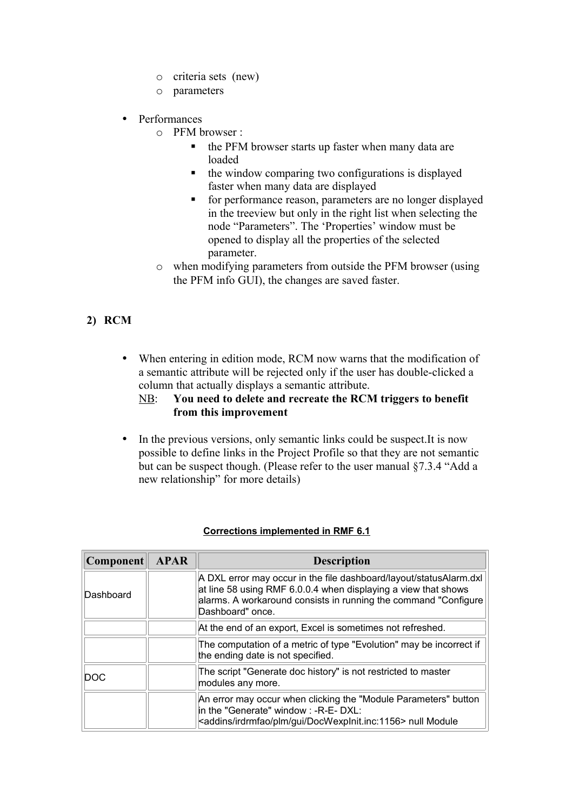- o criteria sets (new)
- o parameters
- Performances
	- o PFM browser :
		- $\blacksquare$  the PFM browser starts up faster when many data are loaded
		- $\blacksquare$  the window comparing two configurations is displayed faster when many data are displayed
		- **for performance reason, parameters are no longer displayed** in the treeview but only in the right list when selecting the node "Parameters". The 'Properties' window must be opened to display all the properties of the selected parameter.
	- o when modifying parameters from outside the PFM browser (using the PFM info GUI), the changes are saved faster.

#### **2) RCM**

- When entering in edition mode, RCM now warns that the modification of a semantic attribute will be rejected only if the user has double-clicked a column that actually displays a semantic attribute.
	- NB: **You need to delete and recreate the RCM triggers to benefit from this improvement**
- In the previous versions, only semantic links could be suspect. It is now possible to define links in the Project Profile so that they are not semantic but can be suspect though. (Please refer to the user manual §7.3.4 "Add a new relationship" for more details)

| $\mathbf{Component}$ | <b>APAR</b> | <b>Description</b>                                                                                                                                                                                                          |
|----------------------|-------------|-----------------------------------------------------------------------------------------------------------------------------------------------------------------------------------------------------------------------------|
| Dashboard            |             | A DXL error may occur in the file dashboard/layout/statusAlarm.dxl<br>at line 58 using RMF 6.0.0.4 when displaying a view that shows<br>alarms. A workaround consists in running the command "Configure<br>Dashboard" once. |
|                      |             | At the end of an export, Excel is sometimes not refreshed.                                                                                                                                                                  |
|                      |             | The computation of a metric of type "Evolution" may be incorrect if<br>the ending date is not specified.                                                                                                                    |
| DOC                  |             | The script "Generate doc history" is not restricted to master<br>modules any more.                                                                                                                                          |
|                      |             | An error may occur when clicking the "Module Parameters" button<br>in the "Generate" window: -R-E-DXL:<br><addins docwexplnit.inc:1156="" gui="" irdrmfao="" plm=""> null Module</addins>                                   |

#### **Corrections implemented in RMF 6.1**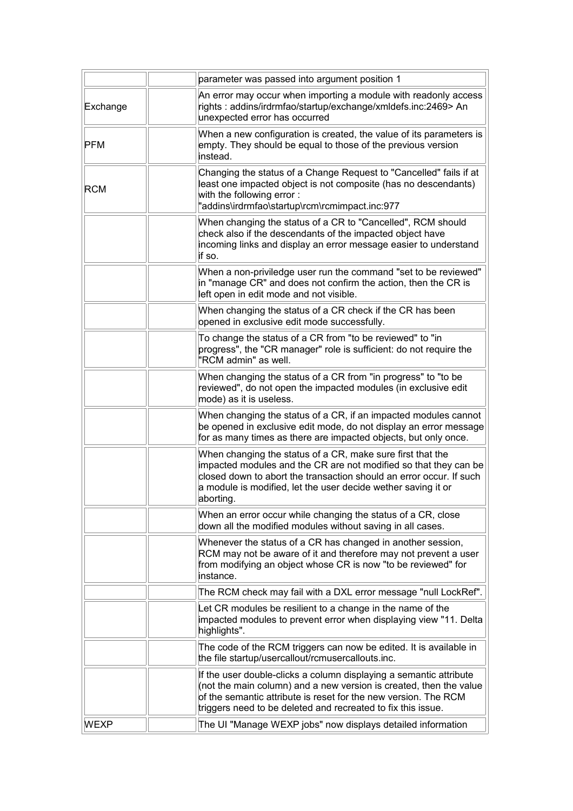|             | parameter was passed into argument position 1                                                                                                                                                                                                                                       |
|-------------|-------------------------------------------------------------------------------------------------------------------------------------------------------------------------------------------------------------------------------------------------------------------------------------|
| Exchange    | An error may occur when importing a module with readonly access<br>rights: addins/irdrmfao/startup/exchange/xmldefs.inc:2469> An<br>unexpected error has occurred                                                                                                                   |
| <b>PFM</b>  | When a new configuration is created, the value of its parameters is<br>empty. They should be equal to those of the previous version<br>instead.                                                                                                                                     |
| RCM         | Changing the status of a Change Request to "Cancelled" fails if at<br>least one impacted object is not composite (has no descendants)<br>with the following error:<br>"addins\irdrmfao\startup\rcm\rcmimpact.inc:977                                                                |
|             | When changing the status of a CR to "Cancelled", RCM should<br>check also if the descendants of the impacted object have<br>incoming links and display an error message easier to understand<br>if so.                                                                              |
|             | When a non-priviledge user run the command "set to be reviewed"<br>in "manage CR" and does not confirm the action, then the CR is<br>left open in edit mode and not visible.                                                                                                        |
|             | When changing the status of a CR check if the CR has been<br>opened in exclusive edit mode successfully.                                                                                                                                                                            |
|             | To change the status of a CR from "to be reviewed" to "in<br>progress", the "CR manager" role is sufficient: do not require the<br>"RCM admin" as well.                                                                                                                             |
|             | When changing the status of a CR from "in progress" to "to be<br>reviewed", do not open the impacted modules (in exclusive edit<br>mode) as it is useless.                                                                                                                          |
|             | When changing the status of a CR, if an impacted modules cannot<br>be opened in exclusive edit mode, do not display an error message<br>for as many times as there are impacted objects, but only once.                                                                             |
|             | When changing the status of a CR, make sure first that the<br>impacted modules and the CR are not modified so that they can be<br>closed down to abort the transaction should an error occur. If such<br>a module is modified, let the user decide wether saving it or<br>aborting. |
|             | When an error occur while changing the status of a CR, close<br>down all the modified modules without saving in all cases.                                                                                                                                                          |
|             | Whenever the status of a CR has changed in another session,<br>RCM may not be aware of it and therefore may not prevent a user<br>from modifying an object whose CR is now "to be reviewed" for<br>instance.                                                                        |
|             | The RCM check may fail with a DXL error message "null LockRef".                                                                                                                                                                                                                     |
|             | Let CR modules be resilient to a change in the name of the<br>impacted modules to prevent error when displaying view "11. Delta<br>highlights".                                                                                                                                     |
|             | The code of the RCM triggers can now be edited. It is available in<br>the file startup/usercallout/rcmusercallouts.inc.                                                                                                                                                             |
|             | If the user double-clicks a column displaying a semantic attribute<br>(not the main column) and a new version is created, then the value<br>of the semantic attribute is reset for the new version. The RCM<br>triggers need to be deleted and recreated to fix this issue.         |
| <b>WEXP</b> | The UI "Manage WEXP jobs" now displays detailed information                                                                                                                                                                                                                         |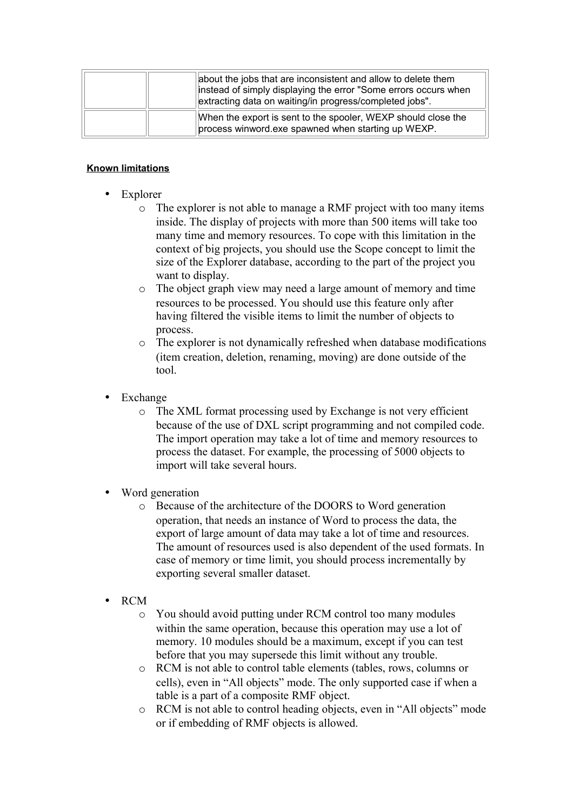| about the jobs that are inconsistent and allow to delete them<br>instead of simply displaying the error "Some errors occurs when<br>extracting data on waiting/in progress/completed jobs". |
|---------------------------------------------------------------------------------------------------------------------------------------------------------------------------------------------|
| When the export is sent to the spooler, WEXP should close the<br>process winword.exe spawned when starting up WEXP.                                                                         |

#### **Known limitations**

- **Explorer** 
	- o The explorer is not able to manage a RMF project with too many items inside. The display of projects with more than 500 items will take too many time and memory resources. To cope with this limitation in the context of big projects, you should use the Scope concept to limit the size of the Explorer database, according to the part of the project you want to display.
	- o The object graph view may need a large amount of memory and time resources to be processed. You should use this feature only after having filtered the visible items to limit the number of objects to process.
	- o The explorer is not dynamically refreshed when database modifications (item creation, deletion, renaming, moving) are done outside of the tool.
- **Exchange** 
	- o The XML format processing used by Exchange is not very efficient because of the use of DXL script programming and not compiled code. The import operation may take a lot of time and memory resources to process the dataset. For example, the processing of 5000 objects to import will take several hours.
- Word generation
	- o Because of the architecture of the DOORS to Word generation operation, that needs an instance of Word to process the data, the export of large amount of data may take a lot of time and resources. The amount of resources used is also dependent of the used formats. In case of memory or time limit, you should process incrementally by exporting several smaller dataset.
- RCM
	- o You should avoid putting under RCM control too many modules within the same operation, because this operation may use a lot of memory. 10 modules should be a maximum, except if you can test before that you may supersede this limit without any trouble.
	- o RCM is not able to control table elements (tables, rows, columns or cells), even in "All objects" mode. The only supported case if when a table is a part of a composite RMF object.
	- o RCM is not able to control heading objects, even in "All objects" mode or if embedding of RMF objects is allowed.